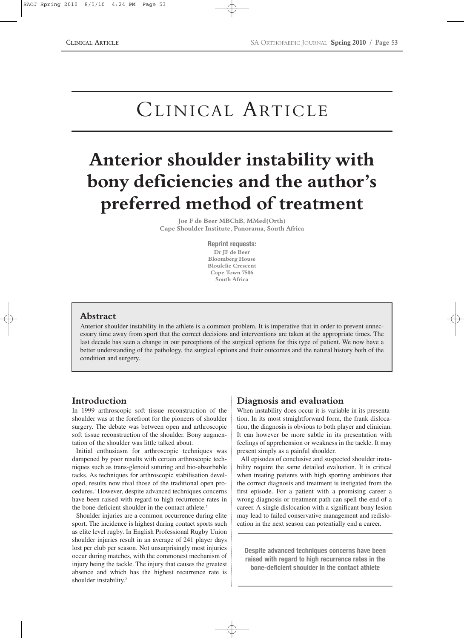# CLINICAL ARTICLE

# **Anterior shoulder instability with bony deficiencies and the author's preferred method of treatment**

**Joe F de Beer MBChB, MMed(Orth) Cape Shoulder Institute, Panorama, South Africa**

> **Reprint requests: Dr JF de Beer Bloomberg House Bloulelie Crescent Cape Town 7506 South Africa**

# **Abstract**

Anterior shoulder instability in the athlete is a common problem. It is imperative that in order to prevent unnecessary time away from sport that the correct decisions and interventions are taken at the appropriate times. The last decade has seen a change in our perceptions of the surgical options for this type of patient. We now have a better understanding of the pathology, the surgical options and their outcomes and the natural history both of the condition and surgery.

# **Introduction**

In 1999 arthroscopic soft tissue reconstruction of the shoulder was at the forefront for the pioneers of shoulder surgery. The debate was between open and arthroscopic soft tissue reconstruction of the shoulder. Bony augmentation of the shoulder was little talked about.

Initial enthusiasm for arthroscopic techniques was dampened by poor results with certain arthroscopic techniques such as trans-glenoid suturing and bio-absorbable tacks. As techniques for arthroscopic stabilisation developed, results now rival those of the traditional open procedures.1 However, despite advanced techniques concerns have been raised with regard to high recurrence rates in the bone-deficient shoulder in the contact athlete.<sup>2</sup>

Shoulder injuries are a common occurrence during elite sport. The incidence is highest during contact sports such as elite level rugby. In English Professional Rugby Union shoulder injuries result in an average of 241 player days lost per club per season. Not unsurprisingly most injuries occur during matches, with the commonest mechanism of injury being the tackle. The injury that causes the greatest absence and which has the highest recurrence rate is shoulder instability.<sup>3</sup>

# **Diagnosis and evaluation**

When instability does occur it is variable in its presentation. In its most straightforward form, the frank dislocation, the diagnosis is obvious to both player and clinician. It can however be more subtle in its presentation with feelings of apprehension or weakness in the tackle. It may present simply as a painful shoulder.

All episodes of conclusive and suspected shoulder instability require the same detailed evaluation. It is critical when treating patients with high sporting ambitions that the correct diagnosis and treatment is instigated from the first episode. For a patient with a promising career a wrong diagnosis or treatment path can spell the end of a career. A single dislocation with a significant bony lesion may lead to failed conservative management and redislocation in the next season can potentially end a career.

**Despite advanced techniques concerns have been raised with regard to high recurrence rates in the bone-deficient shoulder in the contact athlete**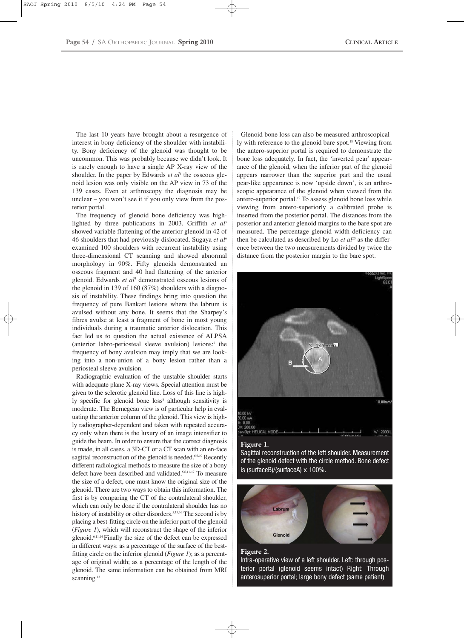The last 10 years have brought about a resurgence of interest in bony deficiency of the shoulder with instability. Bony deficiency of the glenoid was thought to be uncommon. This was probably because we didn't look. It is rarely enough to have a single AP X-ray view of the shoulder. In the paper by Edwards *et al<sup>4</sup>* the osseous glenoid lesion was only visible on the AP view in 73 of the 139 cases. Even at arthroscopy the diagnosis may be unclear – you won't see it if you only view from the posterior portal.

The frequency of glenoid bone deficiency was highlighted by three publications in 2003. Griffith *et al*<sup>5</sup> showed variable flattening of the anterior glenoid in 42 of 46 shoulders that had previously dislocated. Sugaya *et al*<sup>6</sup> examined 100 shoulders with recurrent instability using three-dimensional CT scanning and showed abnormal morphology in 90%. Fifty glenoids demonstrated an osseous fragment and 40 had flattening of the anterior glenoid. Edwards *et al*<sup>4</sup> demonstrated osseous lesions of the glenoid in 139 of 160 (87%) shoulders with a diagnosis of instability. These findings bring into question the frequency of pure Bankart lesions where the labrum is avulsed without any bone. It seems that the Sharpey's fibres avulse at least a fragment of bone in most young individuals during a traumatic anterior dislocation. This fact led us to question the actual existence of ALPSA (anterior labro-periosteal sleeve avulsion) lesions:7 the frequency of bony avulsion may imply that we are looking into a non-union of a bony lesion rather than a periosteal sleeve avulsion.

Radiographic evaluation of the unstable shoulder starts with adequate plane X-ray views. Special attention must be given to the sclerotic glenoid line. Loss of this line is highly specific for glenoid bone loss<sup>8</sup> although sensitivity is moderate. The Bernegeau view is of particular help in evaluating the anterior column of the glenoid. This view is highly radiographer-dependent and taken with repeated accuracy only when there is the luxury of an image intensifier to guide the beam. In order to ensure that the correct diagnosis is made, in all cases, a 3D-CT or a CT scan with an en-face sagittal reconstruction of the glenoid is needed.<sup>6,9,10</sup> Recently different radiological methods to measure the size of a bony defect have been described and validated.5,6,11-17 To measure the size of a defect, one must know the original size of the glenoid. There are two ways to obtain this information. The first is by comparing the CT of the contralateral shoulder, which can only be done if the contralateral shoulder has no history of instability or other disorders.<sup>5,15,16</sup> The second is by placing a best-fitting circle on the inferior part of the glenoid (*Figure 1*), which will reconstruct the shape of the inferior glenoid. 6,11,14 Finally the size of the defect can be expressed in different ways: as a percentage of the surface of the bestfitting circle on the inferior glenoid (*Figure 1*); as a percentage of original width; as a percentage of the length of the glenoid. The same information can be obtained from MRI scanning.<sup>13</sup>

Glenoid bone loss can also be measured arthroscopically with reference to the glenoid bare spot.<sup>18</sup> Viewing from the antero-superior portal is required to demonstrate the bone loss adequately. In fact, the 'inverted pear' appearance of the glenoid, when the inferior part of the glenoid appears narrower than the superior part and the usual pear-like appearance is now 'upside down', is an arthroscopic appearance of the glenoid when viewed from the antero-superior portal.<sup>19</sup> To assess glenoid bone loss while viewing from antero-superiorly a calibrated probe is inserted from the posterior portal. The distances from the posterior and anterior glenoid margins to the bare spot are measured. The percentage glenoid width deficiency can then be calculated as described by Lo *et al*<sup>20</sup> as the difference between the two measurements divided by twice the distance from the posterior margin to the bare spot.



Sagittal reconstruction of the left shoulder. Measurement of the glenoid defect with the circle method. Bone defect is (surfaceB)/(surfaceA) x 100%.



### **Figure 2.**

Intra-operative view of a left shoulder. Left: through posterior portal (glenoid seems intact) Right: Through anterosuperior portal; large bony defect (same patient)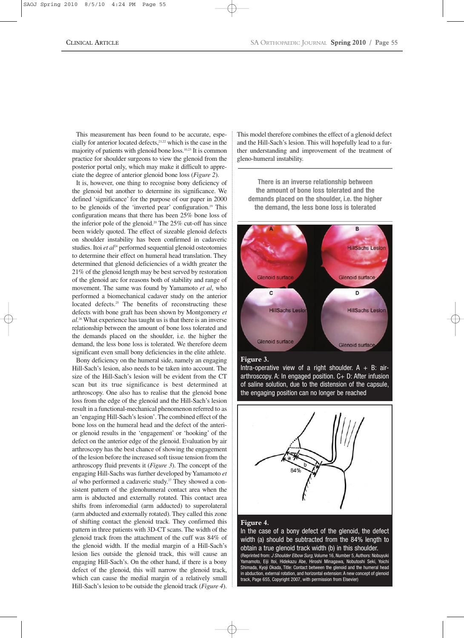This measurement has been found to be accurate, especially for anterior located defects,<sup>21,22</sup> which is the case in the majority of patients with glenoid bone loss.10,23 It is common practice for shoulder surgeons to view the glenoid from the posterior portal only, which may make it difficult to appreciate the degree of anterior glenoid bone loss (*Figure 2*).

It is, however, one thing to recognise bony deficiency of the glenoid but another to determine its significance. We defined 'significance' for the purpose of our paper in 2000 to be glenoids of the 'inverted pear' configuration.19 This configuration means that there has been 25% bone loss of the inferior pole of the glenoid.<sup>20</sup> The  $25\%$  cut-off has since been widely quoted. The effect of sizeable glenoid defects on shoulder instability has been confirmed in cadaveric studies. Itoi *et al*<sup>24</sup> performed sequential glenoid osteotomies to determine their effect on humeral head translation. They determined that glenoid deficiencies of a width greater the 21% of the glenoid length may be best served by restoration of the glenoid arc for reasons both of stability and range of movement. The same was found by Yamamoto *et al*, who performed a biomechanical cadaver study on the anterior located defects.<sup>25</sup> The benefits of reconstructing these defects with bone graft has been shown by Montgomery *et al*. <sup>26</sup> What experience has taught us is that there is an inverse relationship between the amount of bone loss tolerated and the demands placed on the shoulder, i.e. the higher the demand, the less bone loss is tolerated. We therefore deem significant even small bony deficiencies in the elite athlete.

Bony deficiency on the humeral side, namely an engaging Hill-Sach's lesion, also needs to be taken into account. The size of the Hill-Sach's lesion will be evident from the CT scan but its true significance is best determined at arthroscopy. One also has to realise that the glenoid bone loss from the edge of the glenoid and the Hill-Sach's lesion result in a functional-mechanical phenomenon referred to as an 'engaging Hill-Sach's lesion'. The combined effect of the bone loss on the humeral head and the defect of the anterior glenoid results in the 'engagement' or 'hooking' of the defect on the anterior edge of the glenoid. Evaluation by air arthroscopy has the best chance of showing the engagement of the lesion before the increased soft tissue tension from the arthroscopy fluid prevents it (*Figure 3*). The concept of the engaging Hill-Sachs was further developed by Yamamoto *et al* who performed a cadaveric study.27 They showed a consistent pattern of the glenohumeral contact area when the arm is abducted and externally rotated. This contact area shifts from inferomedial (arm adducted) to superolateral (arm abducted and externally rotated). They called this zone of shifting contact the glenoid track. They confirmed this pattern in three patients with 3D-CT scans. The width of the glenoid track from the attachment of the cuff was 84% of the glenoid width. If the medial margin of a Hill-Sach's lesion lies outside the glenoid track, this will cause an engaging Hill-Sach's. On the other hand, if there is a bony defect of the glenoid, this will narrow the glenoid track, which can cause the medial margin of a relatively small Hill-Sach's lesion to be outside the glenoid track (*Figure 4*).

This model therefore combines the effect of a glenoid defect and the Hill-Sach's lesion. This will hopefully lead to a further understanding and improvement of the treatment of gleno-humeral instability.

**There is an inverse relationship between the amount of bone loss tolerated and the demands placed on the shoulder, i.e. the higher the demand, the less bone loss is tolerated**



### **Figure 3.**

Intra-operative view of a right shoulder.  $A + B$ : airarthroscopy. A: In engaged position. C+ D: After infusion of saline solution, due to the distension of the capsule, the engaging position can no longer be reached



#### **Figure 4.**

In the case of a bony defect of the glenoid, the defect width (a) should be subtracted from the 84% length to obtain a true glenoid track width (b) in this shoulder. (Reprinted from: *J Shoulder Elbow Surg*, Volume 16, Number 5, Authors: Nobuyuki Yamamoto, Eiji Itoi, Hidekazu Abe, Hiroshi Minagawa, Nobutoshi Seki, Yoichi Shimada, Kyoji Okada, Title: Contact between the glenoid and the humeral head in abduction, external rotation, and horizontal extension: A new concept of glenoid track, Page 655, Copyright 2007, with permission from Elsevier)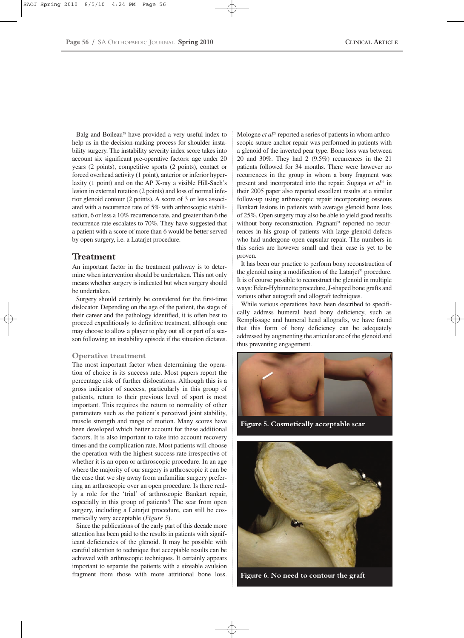Balg and Boileau<sup>28</sup> have provided a very useful index to help us in the decision-making process for shoulder instability surgery. The instability severity index score takes into account six significant pre-operative factors: age under 20 years (2 points), competitive sports (2 points), contact or forced overhead activity (1 point), anterior or inferior hyperlaxity (1 point) and on the AP X-ray a visible Hill-Sach's lesion in external rotation (2 points) and loss of normal inferior glenoid contour (2 points). A score of 3 or less associated with a recurrence rate of 5% with arthroscopic stabilisation, 6 or less a 10% recurrence rate, and greater than 6 the recurrence rate escalates to 70%. They have suggested that a patient with a score of more than 6 would be better served by open surgery, i.e. a Latarjet procedure.

## **Treatment**

An important factor in the treatment pathway is to determine when intervention should be undertaken. This not only means whether surgery is indicated but when surgery should be undertaken.

Surgery should certainly be considered for the first-time dislocator. Depending on the age of the patient, the stage of their career and the pathology identified, it is often best to proceed expeditiously to definitive treatment, although one may choose to allow a player to play out all or part of a season following an instability episode if the situation dictates.

#### **Operative treatment**

The most important factor when determining the operation of choice is its success rate. Most papers report the percentage risk of further dislocations. Although this is a gross indicator of success, particularly in this group of patients, return to their previous level of sport is most important. This requires the return to normality of other parameters such as the patient's perceived joint stability, muscle strength and range of motion. Many scores have been developed which better account for these additional factors. It is also important to take into account recovery times and the complication rate. Most patients will choose the operation with the highest success rate irrespective of whether it is an open or arthroscopic procedure. In an age where the majority of our surgery is arthroscopic it can be the case that we shy away from unfamiliar surgery preferring an arthroscopic over an open procedure. Is there really a role for the 'trial' of arthroscopic Bankart repair, especially in this group of patients? The scar from open surgery, including a Latarjet procedure, can still be cosmetically very acceptable (*Figure 5*).

Since the publications of the early part of this decade more attention has been paid to the results in patients with significant deficiencies of the glenoid. It may be possible with careful attention to technique that acceptable results can be achieved with arthroscopic techniques. It certainly appears important to separate the patients with a sizeable avulsion fragment from those with more attritional bone loss.

Mologne *et al*<sup>29</sup> reported a series of patients in whom arthroscopic suture anchor repair was performed in patients with a glenoid of the inverted pear type. Bone loss was between 20 and 30%. They had 2 (9.5%) recurrences in the 21 patients followed for 34 months. There were however no recurrences in the group in whom a bony fragment was present and incorporated into the repair. Sugaya *et al*<sup>30</sup> in their 2005 paper also reported excellent results at a similar follow-up using arthroscopic repair incorporating osseous Bankart lesions in patients with average glenoid bone loss of 25%. Open surgery may also be able to yield good results without bony reconstruction. Pagnani<sup>31</sup> reported no recurrences in his group of patients with large glenoid defects who had undergone open capsular repair. The numbers in this series are however small and their case is yet to be proven.

It has been our practice to perform bony reconstruction of the glenoid using a modification of the Latarjet<sup>32</sup> procedure. It is of course possible to reconstruct the glenoid in multiple ways: Eden-Hybinnette procedure, J-shaped bone grafts and various other autograft and allograft techniques.

While various operations have been described to specifically address humeral head bony deficiency, such as Remplissage and humeral head allografts, we have found that this form of bony deficiency can be adequately addressed by augmenting the articular arc of the glenoid and thus preventing engagement.



**Figure 5. Cosmetically acceptable scar**



**Figure 6. No need to contour the graft**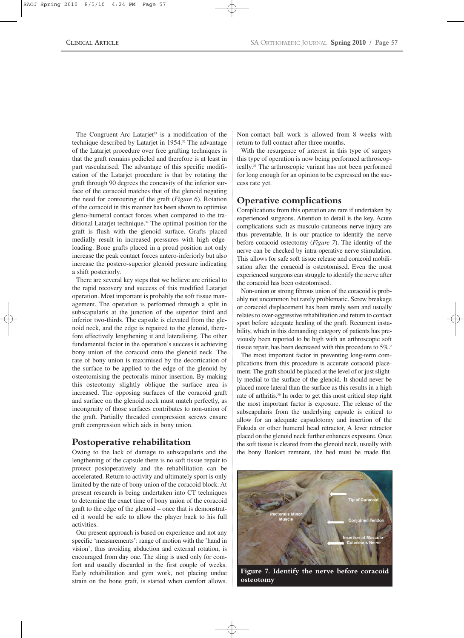The Congruent-Arc Latarjet<sup>33</sup> is a modification of the technique described by Latarjet in 1954.<sup>32</sup> The advantage of the Latarjet procedure over free grafting techniques is that the graft remains pedicled and therefore is at least in part vascularised. The advantage of this specific modification of the Latarjet procedure is that by rotating the graft through 90 degrees the concavity of the inferior surface of the coracoid matches that of the glenoid negating the need for contouring of the graft (*Figure 6*). Rotation of the coracoid in this manner has been shown to optimise gleno-humeral contact forces when compared to the traditional Latarjet technique.<sup>34</sup> The optimal position for the graft is flush with the glenoid surface. Grafts placed medially result in increased pressures with high edgeloading. Bone grafts placed in a proud position not only increase the peak contact forces antero-inferiorly but also increase the postero-superior glenoid pressure indicating a shift posteriorly.

There are several key steps that we believe are critical to the rapid recovery and success of this modified Latarjet operation. Most important is probably the soft tissue management. The operation is performed through a split in subscapularis at the junction of the superior third and inferior two-thirds. The capsule is elevated from the glenoid neck, and the edge is repaired to the glenoid, therefore effectively lengthening it and lateralising. The other fundamental factor in the operation's success is achieving bony union of the coracoid onto the glenoid neck. The rate of bony union is maximised by the decortication of the surface to be applied to the edge of the glenoid by osteotomising the pectoralis minor insertion. By making this osteotomy slightly oblique the surface area is increased. The opposing surfaces of the coracoid graft and surface on the glenoid neck must match perfectly, as incongruity of those surfaces contributes to non-union of the graft. Partially threaded compression screws ensure graft compression which aids in bony union.

# **Postoperative rehabilitation**

Owing to the lack of damage to subscapularis and the lengthening of the capsule there is no soft tissue repair to protect postoperatively and the rehabilitation can be accelerated. Return to activity and ultimately sport is only limited by the rate of bony union of the coracoid block. At present research is being undertaken into CT techniques to determine the exact time of bony union of the coracoid graft to the edge of the glenoid – once that is demonstrated it would be safe to allow the player back to his full activities.

Our present approach is based on experience and not any specific 'measurements': range of motion with the 'hand in vision', thus avoiding abduction and external rotation, is encouraged from day one. The sling is used only for comfort and usually discarded in the first couple of weeks. Early rehabilitation and gym work, not placing undue strain on the bone graft, is started when comfort allows.

Non-contact ball work is allowed from 8 weeks with return to full contact after three months.

With the resurgence of interest in this type of surgery this type of operation is now being performed arthroscopically.<sup>35</sup> The arthroscopic variant has not been performed for long enough for an opinion to be expressed on the success rate yet.

# **Operative complications**

Complications from this operation are rare if undertaken by experienced surgeons. Attention to detail is the key. Acute complications such as musculo-cutaneous nerve injury are thus preventable. It is our practice to identify the nerve before coracoid osteotomy (*Figure 7*). The identity of the nerve can be checked by intra-operative nerve stimulation. This allows for safe soft tissue release and coracoid mobilisation after the coracoid is osteotomised. Even the most experienced surgeons can struggle to identify the nerve after the coracoid has been osteotomised.

Non-union or strong fibrous union of the coracoid is probably not uncommon but rarely problematic. Screw breakage or coracoid displacement has been rarely seen and usually relates to over-aggressive rehabilitation and return to contact sport before adequate healing of the graft. Recurrent instability, which in this demanding category of patients has previously been reported to be high with an arthroscopic soft tissue repair, has been decreased with this procedure to 5%.<sup>2</sup>

The most important factor in preventing long-term complications from this procedure is accurate coracoid placement. The graft should be placed at the level of or just slightly medial to the surface of the glenoid. It should never be placed more lateral than the surface as this results in a high rate of arthritis.<sup>36</sup> In order to get this most critical step right the most important factor is exposure. The release of the subscapularis from the underlying capsule is critical to allow for an adequate capsulotomy and insertion of the Fukuda or other humeral head retractor, A lever retractor placed on the glenoid neck further enhances exposure. Once the soft tissue is cleared from the glenoid neck, usually with the bony Bankart remnant, the bed must be made flat.

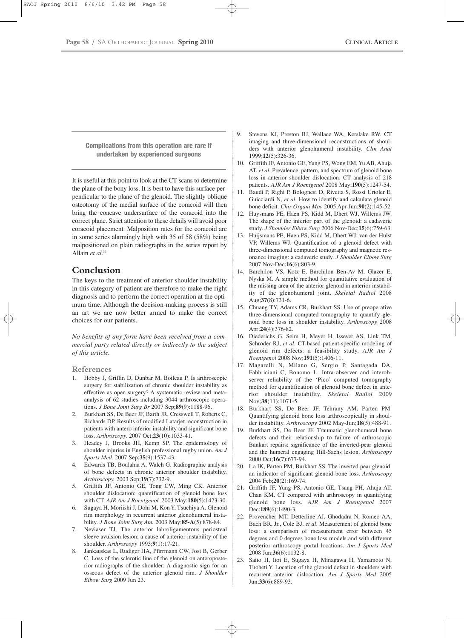**Complications from this operation are rare if undertaken by experienced surgeons**

It is useful at this point to look at the CT scans to determine the plane of the bony loss. It is best to have this surface perpendicular to the plane of the glenoid. The slightly oblique osteotomy of the medial surface of the coracoid will then bring the concave undersurface of the coracoid into the correct plane. Strict attention to these details will avoid poor coracoid placement. Malposition rates for the coracoid are in some series alarmingly high with 35 of 58 (58%) being malpositioned on plain radiographs in the series report by Allain *et al*. 36

## **Conclusion**

The keys to the treatment of anterior shoulder instability in this category of patient are therefore to make the right diagnosis and to perform the correct operation at the optimum time. Although the decision-making process is still an art we are now better armed to make the correct choices for our patients.

*No benefits of any form have been received from a commercial party related directly or indirectly to the subject of this article.*

**References**

- 1. Hobby J, Griffin D, Dunbar M, Boileau P. Is arthroscopic surgery for stabilization of chronic shoulder instability as effective as open surgery? A systematic review and metaanalysis of 62 studies including 3044 arthroscopic operations. *J Bone Joint Surg Br* 2007 Sep;**89**(9):1188-96.
- 2. Burkhart SS, De Beer JF, Barth JR, Cresswell T, Roberts C, Richards DP. Results of modified Latarjet reconstruction in patients with antero inferior instability and significant bone loss. *Arthroscopy.* 2007 Oct;**23**(10):1033-41.
- 3. Headey J, Brooks JH, Kemp SP. The epidemiology of shoulder injuries in English professional rugby union. *Am J Sports Med.* 2007 Sep;**35**(9):1537-43.
- 4. Edwards TB, Boulahia A, Walch G. Radiographic analysis of bone defects in chronic anterior shoulder instability. *Arthroscopy.* 2003 Sep;**19**(7):732-9.
- 5. Griffith JF, Antonio GE, Tong CW, Ming CK. Anterior shoulder dislocation: quantification of glenoid bone loss with CT. *AJR Am J Roentgenol.* 2003 May;**180**(5):1423-30.
- 6. Sugaya H, Moriishi J, Dohi M, Kon Y, Tsuchiya A. Glenoid rim morphology in recurrent anterior glenohumeral instability. *J Bone Joint Surg Am.* 2003 May;**85-A**(5):878-84.
- 7. Neviaser TJ. The anterior labroligamentous periosteal sleeve avulsion lesion: a cause of anterior instability of the shoulder. *Arthroscopy* 1993;**9**(1):17-21.
- 8. Jankauskas L, Rudiger HA, Pfirrmann CW, Jost B, Gerber C. Loss of the sclerotic line of the glenoid on anteroposterior radiographs of the shoulder: A diagnostic sign for an osseous defect of the anterior glenoid rim. *J Shoulder Elbow Surg* 2009 Jun 23.
- 9. Stevens KJ, Preston BJ, Wallace WA, Kerslake RW. CT imaging and three-dimensional reconstructions of shoulders with anterior glenohumeral instability. *Clin Anat* 1999;**12**(5):326-36.
- 10. Griffith JF, Antonio GE, Yung PS, Wong EM, Yu AB, Ahuja AT, *et al*. Prevalence, pattern, and spectrum of glenoid bone loss in anterior shoulder dislocation: CT analysis of 218 patients. *AJR Am J Roentgenol* 2008 May;**190**(5):1247-54.
- 11. Baudi P, Righi P, Bolognesi D, Rivetta S, Rossi Urtoler E, Guicciardi N, *et al*. How to identify and calculate glenoid bone deficit. *Chir Organi Mov* 2005 Apr-Jun;**90**(2):145-52.
- 12. Huysmans PE, Haen PS, Kidd M, Dhert WJ, Willems JW. The shape of the inferior part of the glenoid: a cadaveric study. *J Shoulder Elbow Surg* 2006 Nov-Dec;**15**(6):759-63.
- 13. Huijsmans PE, Haen PS, Kidd M, Dhert WJ, van der Hulst VP, Willems WJ. Quantification of a glenoid defect with three-dimensional computed tomography and magnetic resonance imaging: a cadaveric study. *J Shoulder Elbow Surg* 2007 Nov-Dec;**16**(6):803-9.
- 14. Barchilon VS, Kotz E, Barchilon Ben-Av M, Glazer E, Nyska M. A simple method for quantitative evaluation of the missing area of the anterior glenoid in anterior instability of the glenohumeral joint. *Skeletal Radiol* 2008 Aug;**37**(8):731-6.
- 15. Chuang TY, Adams CR, Burkhart SS. Use of preoperative three-dimensional computed tomography to quantify glenoid bone loss in shoulder instability. *Arthroscopy* 2008 Apr;**24**(4):376-82.
- 16. Diederichs G, Seim H, Meyer H, Issever AS, Link TM, Schroder RJ, *et al*. CT-based patient-specific modeling of glenoid rim defects: a feasibility study. *AJR Am J Roentgenol* 2008 Nov;**191**(5):1406-11.
- 17. Magarelli N, Milano G, Sergio P, Santagada DA, Fabbriciani C, Bonomo L. Intra-observer and interobserver reliability of the 'Pico' computed tomography method for quantification of glenoid bone defect in anterior shoulder instability. *Skeletal Radiol* 2009 Nov;**38**(11):1071-5.
- 18. Burkhart SS, De Beer JF, Tehrany AM, Parten PM. Quantifying glenoid bone loss arthroscopically in shoulder instability. *Arthroscopy* 2002 May-Jun;**18**(5):488-91.
- 19. Burkhart SS, De Beer JF. Traumatic glenohumeral bone defects and their relationship to failure of arthroscopic Bankart repairs: significance of the inverted-pear glenoid and the humeral engaging Hill-Sachs lesion. *Arthroscopy* 2000 Oct;**16**(7):677-94.
- 20. Lo IK, Parten PM, Burkhart SS. The inverted pear glenoid: an indicator of significant glenoid bone loss. *Arthroscopy* 2004 Feb;**20**(2):169-74.
- 21. Griffith JF, Yung PS, Antonio GE, Tsang PH, Ahuja AT, Chan KM. CT compared with arthroscopy in quantifying glenoid bone loss. *AJR Am J Roentgenol* 2007 Dec;**189**(6):1490-3.
- 22. Provencher MT, Detterline AJ, Ghodadra N, Romeo AA, Bach BR, Jr., Cole BJ, *et al*. Measurement of glenoid bone loss: a comparison of measurement error between 45 degrees and 0 degrees bone loss models and with different posterior arthroscopy portal locations. *Am J Sports Med* 2008 Jun;**36**(6):1132-8.
- 23. Saito H, Itoi E, Sugaya H, Minagawa H, Yamamoto N, Tuoheti Y. Location of the glenoid defect in shoulders with recurrent anterior dislocation. *Am J Sports Med* 2005 Jun;**33**(6):889-93.